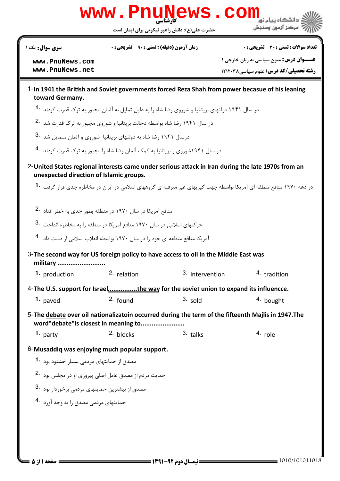

| <b>سری سوال :</b> یک ۱ |  |  |  |  |
|------------------------|--|--|--|--|
|------------------------|--|--|--|--|

**زمان آزمون (دقیقه) : تستی : 90 ٪ تشریحی: 0** 

**تعداد سوالات : تستي : 30 - تشريحي : 0** 

www.PnuNews.com www.PnuNews.net

**عنــوان درس:** متون سیاسی به زبان خارجی ۱ **رشته تحصیلی/کد درس:** علوم سیاسی ۱۲۱۲۰۳۸

- 1-In 1941 the British and Soviet governments forced Reza Shah from power becasue of his leaning toward Germany.
	- در سال ۱۹۴۱ دولتهای بریتانیا و شوروی رضا شاه را به دلیل تمایل به آلمان مجبور به ترک قدرت کردند 1۰
	- در سال ۱۹۴۱ رضا شاه بواسطه دخالت بریتانیا و شوروی مجبور به ترک قدرت شد .2
	- درسال ۱۹۴۱ رضا شاه به دولتهای بریتانیا شوروی و آلمان متمایل شد .3
	- در سال ۱۹۴۱شوروی و بریتانیا به کمک آلمان رضا شاه را مجبور به ترک قدرت کردند 4۰
- 2- United States regional interests came under serious attack in Iran during the late 1970s from an unexpected direction of Islamic groups.

در دهه ۱۹۷۰ منافع منطقه ای آمریکا بواسطه جهت گیریهای غیر مترقبه ی گروههای اسلامی در ایران در مخاطره جدی قرار گرفت **1۰** 

- منافع آمریکا در سال ۱۹۷۰ در منطقه بطور جدی به خطر افتاد .2
- حركتهاى اسلامى در سال ١٩٧٠ منافع آمريكا در منطقه ١٫ به مخاطره انداخت .3
- آمریکا منافع منطقه ای خود را در سال ۱۹۷۰ بواسطه انقلاب اسلامی از دست داد 4۰

3- The second way for US foreign policy to have access to oil in the Middle East was military .......................... 2. relation 3. intervention 4. tradition 1. production 4-The U.S. support for Israel...............the way for the soviet union to expand its influencce.  $2.$  found  $3.$  sold  $1.$  payed 4. bought 5- The debate over oil nationalizatoin occurred during the term of the fifteenth Majlis in 1947. The word"debate" is closest in meaning to......................... 2. blocks  $3.$  talks 4. role 1. party 6-Musaddiq was enjoying much popular support. مصدق از حمایتهای مردمی بسیار خشنود بود **1**۰ حمایت مردم از مصدق عامل اصلی پیروزی او در مجلس بود .2 مصدق از بیشترین حمایتهای مردمی برخوردار بود .3

حمایتهای مردمی مصدق را به وجد آورد 4.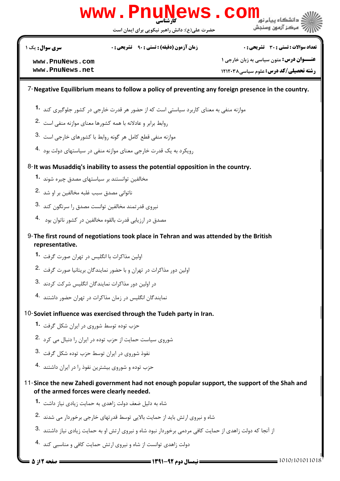

**سری سوال :** یک ۱

**زمان آزمون (دقیقه) : تستی : 90 ٪ تشریحی: 0** 

**تعداد سوالات : تستي : 30 - تشريحي : 0** 

www.PnuNews.com www.PnuNews.net

**ــوان درس:** متون سیاسی به زبان خارجی ۱ رشته تحصیلی/کد درس: علوم سیاسی ۱۲۱۲۰۳۸

## 7-Negative Equilibrium means to follow a policy of preventing any foreign presence in the country.

- موازنه منفی به معنای کاربرد سیاستی است که از حضور هر قدرت خارجی در کشور جلوگیری کند 1۰
- روابط برابر و عادلانه با همه كشورها معناى موازنه منفى است .2
- موازنه منفی قطع کامل هر گونه روابط با کشورهای خارجی است .3
- رویکرد به یک قدرت خارجی معنای موازنه منفی در سیاستهای دولت بود 4.
- 8-It was Musaddiq's inability to assess the potential opposition in the country.
	- مخالفین توانستند بر سیاستهای مصدق چیره شوند 1۰
	- ناتوانی مصدق سبب غلبه مخالفین بر او شد 2.
	- نیروی قدرتمند مخالفین توانست مصدق را سرنگون کند 8.
	- مصدق در ارزیابی قدرت بالقوه مخالفین در کشور ناتوان بود 4.
- 9- The first round of negotiations took place in Tehran and was attended by the British representative.
	- اولین مذاکرات با انگلیس در تهران صورت گرفت **1۰**
	- اولین دور مذاکرات در تهران و با حضور نمایندگان بریتانیا صورت گرفت 2.
	- در اولین دور مذاکرات نمایندگان انگلیس شرکت کردند 3.
	- نمایندگان انگلیس در زمان مذاکرات در تهران حضور داشتند 4.
- 10-Soviet influence was exercised through the Tudeh party in Iran.
	- حزب توده توسط شوروی در ایران شکل گرفت 1.
	- شوروی سیاست حمایت از حزب توده در ایران را دنبال می کرد 2.
	- نفوذ شوروی در ایران توسط حزب توده شکل گرفت <sup>.3</sup>
	- حزب توده و شوروی بیشترین نفوذ را در ایران داشتند <sup>۹۰</sup>۰
- 11-Since the new Zahedi government had not enough popular support, the support of the Shah and of the armed forces were clearly needed.
	- شاه به دلیل ضعف دولت زاهدی به حمایت زیادی نیاز داشت <sup>1</sup>۰
	- شاه و نیروی ارتش باید از حمایت بالایی توسط قدر تهای خارجی برخوردار مے شدند .2
	- از آنجا که دولت زاهدی از حمایت کافی مردمی برخوردار نبود شاه و نیروی ارتش او به حمایت زیادی نیاز داشتند <sup>.3</sup>
	- دولت زاهدی توانست از شاه و نیروی ارتش حمایت کافی و مناسبی کند 4.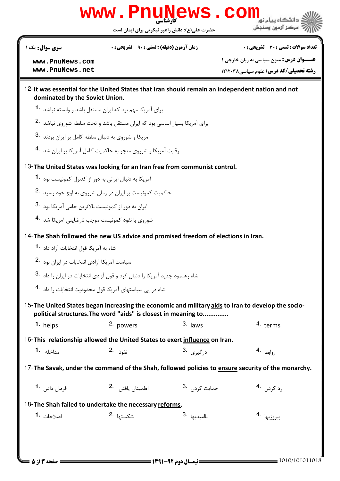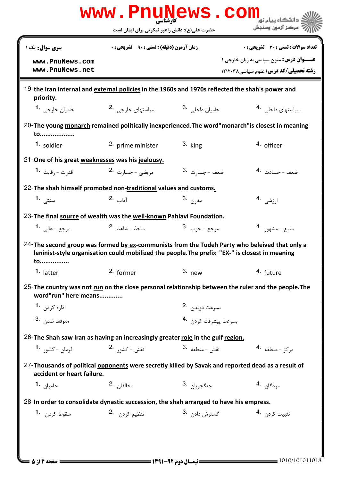|                                                                                                                                                                                                 | www.PnuNews.com<br>کارشناسی<br>حضرت علی(ع): دانش راهبر نیکویی برای ایمان است |                           | دانشگاه سام نور<br>مركز آزمون وسنجش                                                                |  |  |  |  |  |
|-------------------------------------------------------------------------------------------------------------------------------------------------------------------------------------------------|------------------------------------------------------------------------------|---------------------------|----------------------------------------------------------------------------------------------------|--|--|--|--|--|
| سری سوال: یک ۱                                                                                                                                                                                  | <b>زمان آزمون (دقیقه) : تستی : 90 ٪ تشریحی : 0</b>                           |                           | تعداد سوالات : تستي : 30 - تشريحي : 0                                                              |  |  |  |  |  |
| www.PnuNews.com<br>www.PnuNews.net                                                                                                                                                              |                                                                              |                           | <b>عنـــوان درس: م</b> تون سیاسی به زبان خارجی ۱<br>رشته تحصیلی/کد درس: علوم سیاسی ۱۲۱۲۰۳۸         |  |  |  |  |  |
| 19-the Iran internal and external policies in the 1960s and 1970s reflected the shah's power and<br>priority.                                                                                   |                                                                              |                           |                                                                                                    |  |  |  |  |  |
| حامیان خارجی <b>1</b> ۰                                                                                                                                                                         | سیاستهای خارجی 2.                                                            | حامیان داخلی . 3          | سیاستهای داخلی . <sup>4</sup>                                                                      |  |  |  |  |  |
| 20-The young monarch remained politically inexperienced. The word"monarch" is closest in meaning<br>to                                                                                          |                                                                              |                           |                                                                                                    |  |  |  |  |  |
| 1. soldier                                                                                                                                                                                      | 2. prime minister                                                            | $3.$ king                 | 4. officer                                                                                         |  |  |  |  |  |
| 21-One of his great weaknesses was his jealousy.                                                                                                                                                |                                                                              |                           |                                                                                                    |  |  |  |  |  |
| قد <sub>ر</sub> ت – , قابت <b>1۰</b>                                                                                                                                                            | مريضى - جسارت <sup>2</sup> ۰                                                 | ضعف - جسارت 3.            | ضعف - حسادت .4                                                                                     |  |  |  |  |  |
| 22-The shah himself promoted non-traditional values and customs.                                                                                                                                |                                                                              |                           |                                                                                                    |  |  |  |  |  |
| سنتى 1.                                                                                                                                                                                         | 1 <sub>داب</sub> .2                                                          | مدرن 3.                   | ارزشى .4                                                                                           |  |  |  |  |  |
|                                                                                                                                                                                                 | 23-The final source of wealth was the well-known Pahlavi Foundation.         |                           |                                                                                                    |  |  |  |  |  |
| مرجع - عالي <b>1.</b>                                                                                                                                                                           | ماخذ - شاهد <sup>.2</sup>                                                    | مرجع – خوب 3.             | منبع - مشهور 4.                                                                                    |  |  |  |  |  |
| 24-The second group was formed by ex-communists from the Tudeh Party who beleived that only a<br>leninist-style organisation could mobilized the people. The prefix "EX-" is closest in meaning |                                                                              |                           |                                                                                                    |  |  |  |  |  |
| to<br>1. latter                                                                                                                                                                                 | 2. former                                                                    | $3.$ new                  | 4. future                                                                                          |  |  |  |  |  |
| 25-The country was not run on the close personal relationship between the ruler and the people. The<br>word"run" here means                                                                     |                                                                              |                           |                                                                                                    |  |  |  |  |  |
| اداره کردن 1.                                                                                                                                                                                   |                                                                              | بسرعت دويدن 2.            |                                                                                                    |  |  |  |  |  |
| متوقف شد <sub>ن</sub> .3                                                                                                                                                                        |                                                                              | بسرعت پیشرفت کردن .4      |                                                                                                    |  |  |  |  |  |
| 26-The Shah saw Iran as having an increasingly greater role in the gulf region.                                                                                                                 |                                                                              |                           |                                                                                                    |  |  |  |  |  |
| فرمان – کشور <b>1۰</b>                                                                                                                                                                          | نقش – کشور <sup>2</sup> ۰                                                    | نقش – منطقه <sup>.3</sup> | مركز - منطقه 4.                                                                                    |  |  |  |  |  |
| accident or heart failure.                                                                                                                                                                      |                                                                              |                           | 27-Thousands of political opponents were secretly killed by Savak and reported dead as a result of |  |  |  |  |  |
| حاميا <sub>ن</sub> <b>1.</b>                                                                                                                                                                    | مخالفان 2.                                                                   | جنگجويا <sub>ن</sub> 3.   | مردگا <sub>ن</sub> .4                                                                              |  |  |  |  |  |
| 28-In order to consolidate dynastic succession, the shah arranged to have his empress.                                                                                                          |                                                                              |                           |                                                                                                    |  |  |  |  |  |
| سقوط کرد <sub>ن</sub> <b>1.</b>                                                                                                                                                                 | تنظیم کردن <sup>.2</sup>                                                     | گسترش دادن 3.             | تثبيت كردن 4.                                                                                      |  |  |  |  |  |
|                                                                                                                                                                                                 |                                                                              |                           |                                                                                                    |  |  |  |  |  |